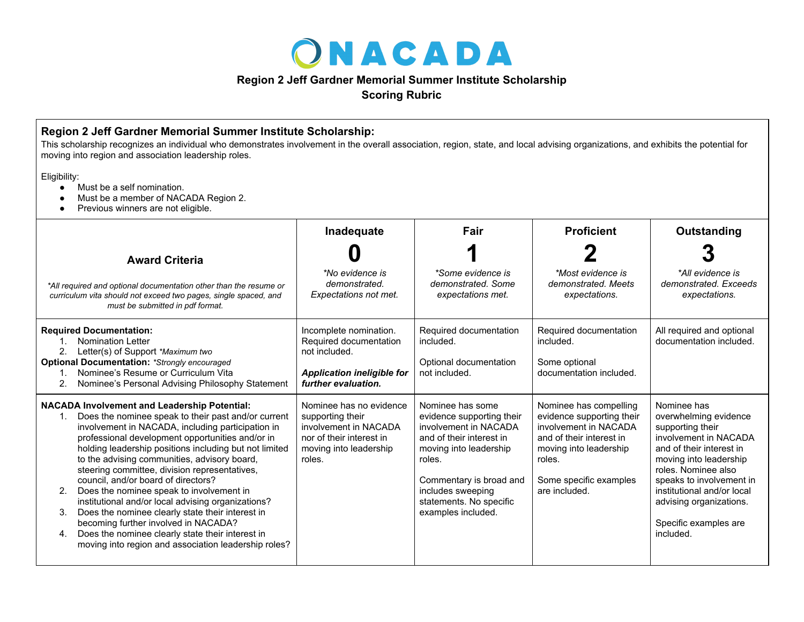

## **Region 2 Jeff Gardner Memorial Summer Institute Scholarship**

**Scoring Rubric**

## **Region 2 Jeff Gardner Memorial Summer Institute Scholarship:**

This scholarship recognizes an individual who demonstrates involvement in the overall association, region, state, and local advising organizations, and exhibits the potential for moving into region and association leadership roles.

Eligibility:

- Must be a self nomination.
- Must be a member of NACADA Region 2.
- Previous winners are not eligible.

|                                                                                                                                                                                                                                                                                                                                                                                                                                                                                                                                                                                                                                                                                                                                                              | Inadequate                                                                                                                           | Fair                                                                                                                                                                                                                                    | <b>Proficient</b>                                                                                                                                                                       | Outstanding                                                                                                                                                                                                                                                                               |  |  |  |
|--------------------------------------------------------------------------------------------------------------------------------------------------------------------------------------------------------------------------------------------------------------------------------------------------------------------------------------------------------------------------------------------------------------------------------------------------------------------------------------------------------------------------------------------------------------------------------------------------------------------------------------------------------------------------------------------------------------------------------------------------------------|--------------------------------------------------------------------------------------------------------------------------------------|-----------------------------------------------------------------------------------------------------------------------------------------------------------------------------------------------------------------------------------------|-----------------------------------------------------------------------------------------------------------------------------------------------------------------------------------------|-------------------------------------------------------------------------------------------------------------------------------------------------------------------------------------------------------------------------------------------------------------------------------------------|--|--|--|
| <b>Award Criteria</b>                                                                                                                                                                                                                                                                                                                                                                                                                                                                                                                                                                                                                                                                                                                                        |                                                                                                                                      |                                                                                                                                                                                                                                         |                                                                                                                                                                                         |                                                                                                                                                                                                                                                                                           |  |  |  |
| *All required and optional documentation other than the resume or<br>curriculum vita should not exceed two pages, single spaced, and<br>must be submitted in pdf format.                                                                                                                                                                                                                                                                                                                                                                                                                                                                                                                                                                                     | *No evidence is<br>demonstrated.<br>Expectations not met.                                                                            | *Some evidence is<br>demonstrated. Some<br>expectations met.                                                                                                                                                                            | *Most evidence is<br>demonstrated. Meets<br>expectations.                                                                                                                               | *All evidence is<br>demonstrated. Exceeds<br>expectations.                                                                                                                                                                                                                                |  |  |  |
| <b>Required Documentation:</b><br><b>Nomination Letter</b><br>2.<br>Letter(s) of Support *Maximum two<br><b>Optional Documentation: *Strongly encouraged</b><br>Nominee's Resume or Curriculum Vita<br>Nominee's Personal Advising Philosophy Statement<br>2.                                                                                                                                                                                                                                                                                                                                                                                                                                                                                                | Incomplete nomination.<br>Required documentation<br>not included.<br><b>Application ineligible for</b><br>further evaluation.        | Required documentation<br>included.<br>Optional documentation<br>not included.                                                                                                                                                          | Required documentation<br>included.<br>Some optional<br>documentation included.                                                                                                         | All required and optional<br>documentation included.                                                                                                                                                                                                                                      |  |  |  |
| <b>NACADA Involvement and Leadership Potential:</b><br>Does the nominee speak to their past and/or current<br>$1_{-}$<br>involvement in NACADA, including participation in<br>professional development opportunities and/or in<br>holding leadership positions including but not limited<br>to the advising communities, advisory board,<br>steering committee, division representatives,<br>council, and/or board of directors?<br>2.<br>Does the nominee speak to involvement in<br>institutional and/or local advising organizations?<br>Does the nominee clearly state their interest in<br>3.<br>becoming further involved in NACADA?<br>Does the nominee clearly state their interest in<br>4.<br>moving into region and association leadership roles? | Nominee has no evidence<br>supporting their<br>involvement in NACADA<br>nor of their interest in<br>moving into leadership<br>roles. | Nominee has some<br>evidence supporting their<br>involvement in NACADA<br>and of their interest in<br>moving into leadership<br>roles.<br>Commentary is broad and<br>includes sweeping<br>statements. No specific<br>examples included. | Nominee has compelling<br>evidence supporting their<br>involvement in NACADA<br>and of their interest in<br>moving into leadership<br>roles.<br>Some specific examples<br>are included. | Nominee has<br>overwhelming evidence<br>supporting their<br>involvement in NACADA<br>and of their interest in<br>moving into leadership<br>roles. Nominee also<br>speaks to involvement in<br>institutional and/or local<br>advising organizations.<br>Specific examples are<br>included. |  |  |  |